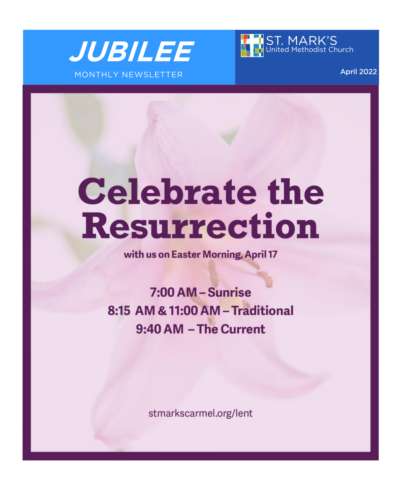



April 2022

# **Celebrate the Resurrection**

with us on Easter Morning, April 17

7:00 AM - Sunrise 8:15 AM & 11:00 AM - Traditional 9:40 AM - The Current

stmarkscarmel.org/lent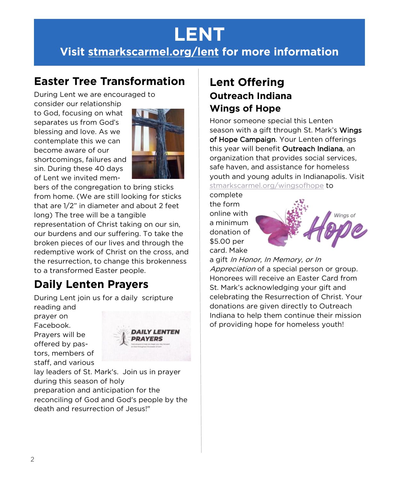# **LENT**

# **Visit [stmarkscarmel.org/lent](https://stmarkscarmel.org/lent/) for more information**

## **Easter Tree Transformation**

During Lent we are encouraged to

consider our relationship to God, focusing on what separates us from God's blessing and love. As we contemplate this we can become aware of our shortcomings, failures and sin. During these 40 days of Lent we invited mem-



bers of the congregation to bring sticks from home. (We are still looking for sticks that are 1/2" in diameter and about 2 feet long) The tree will be a tangible representation of Christ taking on our sin, our burdens and our suffering. To take the broken pieces of our lives and through the redemptive work of Christ on the cross, and the resurrection, to change this brokenness to a transformed Easter people.

# **Daily Lenten Prayers**

During Lent join us for a daily scripture reading and

prayer on Facebook. Prayers will be offered by pastors, members of staff, and various



lay leaders of St. Mark's. Join us in prayer during this season of holy preparation and anticipation for the reconciling of God and God's people by the death and resurrection of Jesus!"

## **Lent Offering Outreach Indiana Wings of Hope**

Honor someone special this Lenten season with a gift through St. Mark's Wings of Hope Campaign. Your Lenten offerings this year will benefit Outreach Indiana, an organization that provides social services, safe haven, and assistance for homeless youth and young adults in Indianapolis. Visit [stmarkscarmel.org/wingsofhope](https://stmarkscarmel.org/wingsofhope) to

complete the form online with a minimum donation of \$5.00 per card. Make



a gift In Honor, In Memory, or In Appreciation of a special person or group. Honorees will receive an Easter Card from St. Mark's acknowledging your gift and celebrating the Resurrection of Christ. Your donations are given directly to Outreach Indiana to help them continue their mission of providing hope for homeless youth!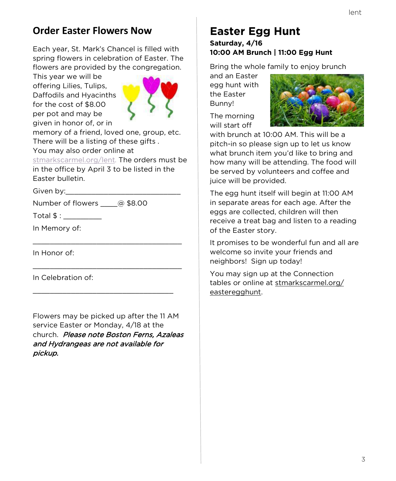## **Order Easter Flowers Now**

Each year, St. Mark's Chancel is filled with spring flowers in celebration of Easter. The flowers are provided by the congregation.

This year we will be offering Lilies, Tulips, Daffodils and Hyacinths for the cost of \$8.00 per pot and may be given in honor of, or in



memory of a friend, loved one, group, etc. There will be a listing of these gifts . You may also order online at

[stmarkscarmel.org/lent.](https://stmarkscarmel.org/lent/) The orders must be in the office by April 3 to be listed in the Easter bulletin.

\_\_\_\_\_\_\_\_\_\_\_\_\_\_\_\_\_\_\_\_\_\_\_\_\_\_\_\_\_\_\_\_\_\_\_

\_\_\_\_\_\_\_\_\_\_\_\_\_\_\_\_\_\_\_\_\_\_\_\_\_\_\_\_\_\_\_\_\_\_\_

\_\_\_\_\_\_\_\_\_\_\_\_\_\_\_\_\_\_\_\_\_\_\_\_\_\_\_\_\_\_\_\_\_

Given by:

Number of flowers @ \$8.00

 $Total $ :$ 

In Memory of:

In Honor of:

In Celebration of:

Flowers may be picked up after the 11 AM service Easter or Monday, 4/18 at the church. Please note Boston Ferns, Azaleas and Hydrangeas are not available for pickup.

### **Easter Egg Hunt Saturday, 4/16 10:00 AM Brunch | 11:00 Egg Hunt**

Bring the whole family to enjoy brunch

and an Easter egg hunt with the Easter Bunny!

The morning will start off



with brunch at 10:00 AM. This will be a pitch-in so please sign up to let us know what brunch item you'd like to bring and how many will be attending. The food will be served by volunteers and coffee and juice will be provided.

The egg hunt itself will begin at 11:00 AM in separate areas for each age. After the eggs are collected, children will then receive a treat bag and listen to a reading of the Easter story.

It promises to be wonderful fun and all are welcome so invite your friends and neighbors! Sign up today!

You may sign up at the Connection tables or online at [stmarkscarmel.org/](https://stmarkscarmel.org/easteregghunt) [easteregghunt.](https://stmarkscarmel.org/easteregghunt)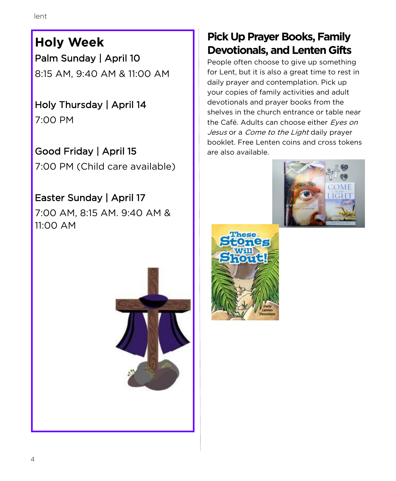**Holy Week** Palm Sunday | April 10 8:15 AM, 9:40 AM & 11:00 AM

Holy Thursday | April 14 7:00 PM

Good Friday | April 15 7:00 PM (Child care available)

# Easter Sunday | April 17

7:00 AM, 8:15 AM. 9:40 AM & 11:00 AM



# **Pick Up Prayer Books, Family Devotionals, and Lenten Gifts**

People often choose to give up something for Lent, but it is also a great time to rest in daily prayer and contemplation. Pick up your copies of family activities and adult devotionals and prayer books from the shelves in the church entrance or table near the Café. Adults can choose either Eyes on Jesus or a Come to the Light daily prayer booklet. Free Lenten coins and cross tokens are also available.



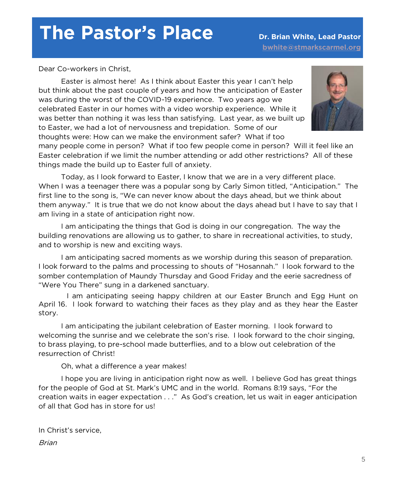# **The Pastor's Place Dr. Brian White, Lead Pastor**

Dear Co-workers in Christ,

Easter is almost here! As I think about Easter this year I can't help but think about the past couple of years and how the anticipation of Easter was during the worst of the COVID-19 experience. Two years ago we celebrated Easter in our homes with a video worship experience. While it was better than nothing it was less than satisfying. Last year, as we built up to Easter, we had a lot of nervousness and trepidation. Some of our thoughts were: How can we make the environment safer? What if too



many people come in person? What if too few people come in person? Will it feel like an Easter celebration if we limit the number attending or add other restrictions? All of these things made the build up to Easter full of anxiety.

Today, as I look forward to Easter, I know that we are in a very different place. When I was a teenager there was a popular song by Carly Simon titled, "Anticipation." The first line to the song is, "We can never know about the days ahead, but we think about them anyway." It is true that we do not know about the days ahead but I have to say that I am living in a state of anticipation right now.

I am anticipating the things that God is doing in our congregation. The way the building renovations are allowing us to gather, to share in recreational activities, to study, and to worship is new and exciting ways.

I am anticipating sacred moments as we worship during this season of preparation. I look forward to the palms and processing to shouts of "Hosannah." I look forward to the somber contemplation of Maundy Thursday and Good Friday and the eerie sacredness of "Were You There" sung in a darkened sanctuary.

I am anticipating seeing happy children at our Easter Brunch and Egg Hunt on April 16. I look forward to watching their faces as they play and as they hear the Easter story.

I am anticipating the jubilant celebration of Easter morning. I look forward to welcoming the sunrise and we celebrate the son's rise. I look forward to the choir singing, to brass playing, to pre-school made butterflies, and to a blow out celebration of the resurrection of Christ!

Oh, what a difference a year makes!

I hope you are living in anticipation right now as well. I believe God has great things for the people of God at St. Mark's UMC and in the world. Romans 8:19 says, "For the creation waits in eager expectation . . ." As God's creation, let us wait in eager anticipation of all that God has in store for us!

In Christ's service, Brian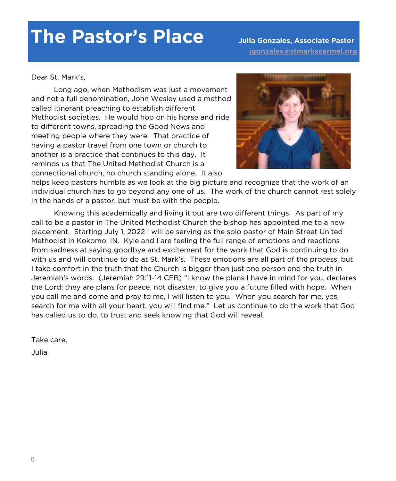# **The Pastor's Place Julia Gonzales, Associate Pastor**

 **[jgonzales@stmarkscarmel.org](mailto:jgonzalas@stmarkscarmel.org)**

Dear St. Mark's,

Long ago, when Methodism was just a movement and not a full denomination, John Wesley used a method called itinerant preaching to establish different Methodist societies. He would hop on his horse and ride to different towns, spreading the Good News and meeting people where they were. That practice of having a pastor travel from one town or church to another is a practice that continues to this day. It reminds us that The United Methodist Church is a connectional church, no church standing alone. It also



helps keep pastors humble as we look at the big picture and recognize that the work of an individual church has to go beyond any one of us. The work of the church cannot rest solely in the hands of a pastor, but must be with the people.

Knowing this academically and living it out are two different things. As part of my call to be a pastor in The United Methodist Church the bishop has appointed me to a new placement. Starting July 1, 2022 I will be serving as the solo pastor of Main Street United Methodist in Kokomo, IN. Kyle and I are feeling the full range of emotions and reactions from sadness at saying goodbye and excitement for the work that God is continuing to do with us and will continue to do at St. Mark's. These emotions are all part of the process, but I take comfort in the truth that the Church is bigger than just one person and the truth in Jeremiah's words. (Jeremiah 29:11-14 CEB) "I know the plans I have in mind for you, declares the Lord; they are plans for peace, not disaster, to give you a future filled with hope. When you call me and come and pray to me, I will listen to you. When you search for me, yes, search for me with all your heart, you will find me." Let us continue to do the work that God has called us to do, to trust and seek knowing that God will reveal.

Take care,

Julia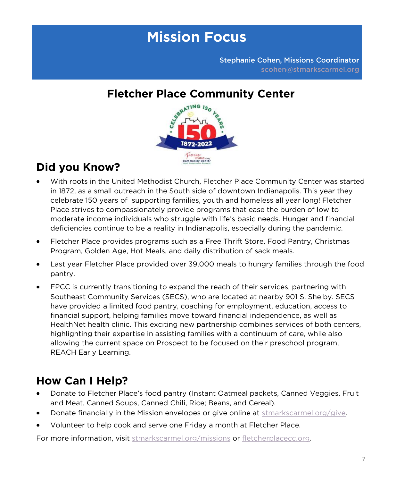# **Mission Focus**

Stephanie Cohen, Missions Coordinator [scohen@stmarkscarmel.org](mailto:scohen@stmarkscarmel.org)



# **Did you Know?**

- With roots in the United Methodist Church, Fletcher Place Community Center was started in 1872, as a small outreach in the South side of downtown Indianapolis. This year they celebrate 150 years of supporting families, youth and homeless all year long! Fletcher Place strives to compassionately provide programs that ease the burden of low to moderate income individuals who struggle with life's basic needs. Hunger and financial deficiencies continue to be a reality in Indianapolis, especially during the pandemic.
- Fletcher Place provides programs such as a Free Thrift Store, Food Pantry, Christmas Program, Golden Age, Hot Meals, and daily distribution of sack meals.
- Last year Fletcher Place provided over 39,000 meals to hungry families through the food pantry.
- FPCC is currently transitioning to expand the reach of their services, partnering with Southeast Community Services (SECS), who are located at nearby 901 S. Shelby. SECS have provided a limited food pantry, coaching for employment, education, access to financial support, helping families move toward financial independence, as well as HealthNet health clinic. This exciting new partnership combines services of both centers, highlighting their expertise in assisting families with a continuum of care, while also allowing the current space on Prospect to be focused on their preschool program, REACH Early Learning.

# **How Can I Help?**

- Donate to Fletcher Place's food pantry (Instant Oatmeal packets, Canned Veggies, Fruit and Meat, Canned Soups, Canned Chili, Rice; Beans, and Cereal).
- Donate financially in the Mission envelopes or give online at [stmarkscarmel.org/give.](https://secure.etransfer.com/EFT/custom/smumc/BlockCode/donation1.cfm?d2org=SMUMC&d2tool=donate)
- Volunteer to help cook and serve one Friday a month at Fletcher Place.

For more information, visit [stmarkscarmel.org/missions](https://stmarkscarmel.org/missions/) or [fletcherplacecc.org.](https://fletcherplacecc.org/)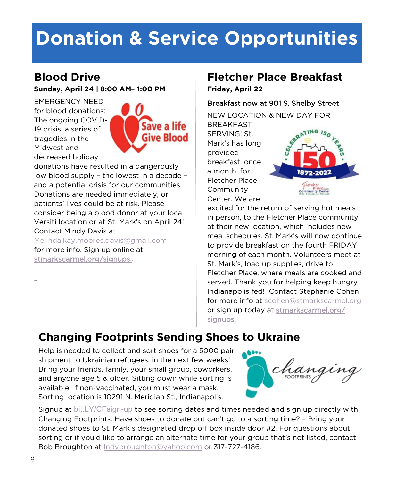# **Donation & Service Opportunities**

## **Blood Drive**

**Sunday, April 24 | 8:00 AM– 1:00 PM**

EMERGENCY NEED for blood donations: The ongoing COVID-19 crisis, a series of tragedies in the Midwest and decreased holiday



donations have resulted in a dangerously low blood supply – the lowest in a decade – and a potential crisis for our communities. Donations are needed immediately, or patients' lives could be at risk. Please consider being a blood donor at your local Versiti location or at St. Mark's on April 24! Contact Mindy Davis at

[Melinda.kay.moores.davis@gmail.com](mailto:Melinda.kay.moores.davis@gmail.com) for more info. Sign up online at [stmarkscarmel.org/signups..](https://stmarkscarmel.org/signups/)

## **Fletcher Place Breakfast**

**Friday, April 22** 

### Breakfast now at 901 S. Shelby Street

NEW LOCATION & NEW DAY FOR **BREAKFAST** 

SERVING! St. Mark's has long provided breakfast, once a month, for Fletcher Place Community Center. We are



excited for the return of serving hot meals in person, to the Fletcher Place community, at their new location, which includes new meal schedules. St. Mark's will now continue to provide breakfast on the fourth FRIDAY morning of each month. Volunteers meet at St. Mark's, load up supplies, drive to Fletcher Place, where meals are cooked and served. Thank you for helping keep hungry Indianapolis fed! Contact Stephanie Cohen for more info at [scohen@stmarkscarmel.org](mailto:scohen@stmarkscarmel.org) or sign up today at [stmarkscarmel.org/](https://stmarkscarmel.org/signups/) [signups.](https://stmarkscarmel.org/signups/) 

# **Changing Footprints Sending Shoes to Ukraine**

Help is needed to collect and sort shoes for a 5000 pair shipment to Ukrainian refugees, in the next few weeks! Bring your friends, family, your small group, coworkers, and anyone age 5 & older. Sitting down while sorting is available. If non-vaccinated, you must wear a mask. Sorting location is 10291 N. Meridian St., Indianapolis.



Signup at [bit.LY/CFsign-up](https://www.signupgenius.com/go/4090f49acad28abf94-changing) to see sorting dates and times needed and sign up directly with Changing Footprints. Have shoes to donate but can't go to a sorting time? – Bring your donated shoes to St. Mark's designated drop off box inside door #2. For questions about sorting or if you'd like to arrange an alternate time for your group that's not listed, contact Bob Broughton at [Indybroughton@yahoo.com](mailto:Indybroughton@yahoo.com) or 317-727-4186.

–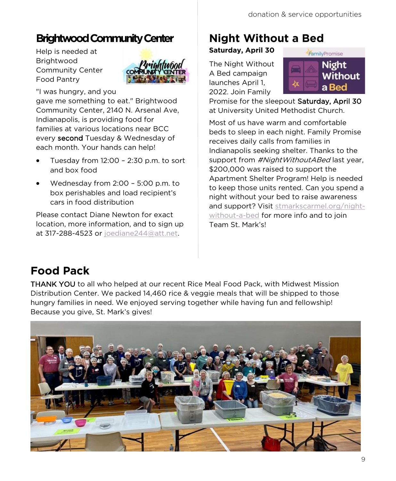## **Brightwood Community Center**

Help is needed at Brightwood Community Center Food Pantry



"I was hungry, and you gave me something to eat." Brightwood Community Center, 2140 N. Arsenal Ave, Indianapolis, is providing food for families at various locations near BCC every second Tuesday & Wednesday of each month. Your hands can help!

- Tuesday from 12:00 2:30 p.m. to sort and box food
- Wednesday from 2:00 5:00 p.m. to box perishables and load recipient's cars in food distribution

Please contact Diane Newton for exact location, more information, and to sign up at 317-288-4523 or [joediane244@att.net.](mailto:joediane244@att.net)

# **Night Without a Bed**

### **Saturday, April 30**

The Night Without A Bed campaign launches April 1, 2022. Join Family



Promise for the sleepout Saturday, April 30 at University United Methodist Church.

Most of us have warm and comfortable beds to sleep in each night. Family Promise receives daily calls from families in Indianapolis seeking shelter. Thanks to the support from #NightWithoutABed last year, \$200,000 was raised to support the Apartment Shelter Program! Help is needed to keep those units rented. Can you spend a night without your bed to raise awareness and support? Visit [stmarkscarmel.org/night](https://stmarkscarmel.org/night-without-a-bed)[without](https://stmarkscarmel.org/night-without-a-bed)-a-bed for more info and to join Team St. Mark's!

# **Food Pack**

THANK YOU to all who helped at our recent Rice Meal Food Pack, with Midwest Mission Distribution Center. We packed 14,460 rice & veggie meals that will be shipped to those hungry families in need. We enjoyed serving together while having fun and fellowship! Because you give, St. Mark's gives!

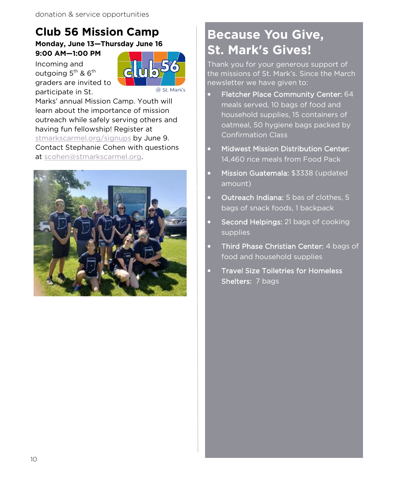# **Club 56 Mission Camp**

**Monday, June 13—Thursday June 16 9:00 AM—1:00 PM**

Incoming and outgoing  $5^{th}$  &  $6^{th}$ graders are invited to participate in St.



Marks' annual Mission Camp. Youth will learn about the importance of mission outreach while safely serving others and having fun fellowship! Register at [stmarkscarmel.org/signups](https://stmarkscarmel.org/signups/) by June 9. Contact Stephanie Cohen with questions at [scohen@stmarkscarmel.org.](mailto:scohen@stmarkscarmel.org)



# **Because You Give, St. Mark's Gives!**

Thank you for your generous support of the missions of St. Mark's. Since the March newsletter we have given to:

- Fletcher Place Community Center: 64 meals served, 10 bags of food and household supplies, 15 containers of oatmeal, 50 hygiene bags packed by Confirmation Class
- Midwest Mission Distribution Center: 14,460 rice meals from Food Pack
- Mission Guatemala: \$3338 (updated amount)
- Outreach Indiana: 5 bas of clothes, 5 bags of snack foods, 1 backpack
- Second Helpings: 21 bags of cooking supplies
- Third Phase Christian Center: 4 bags of food and household supplies
- Travel Size Toiletries for Homeless Shelters: 7 bags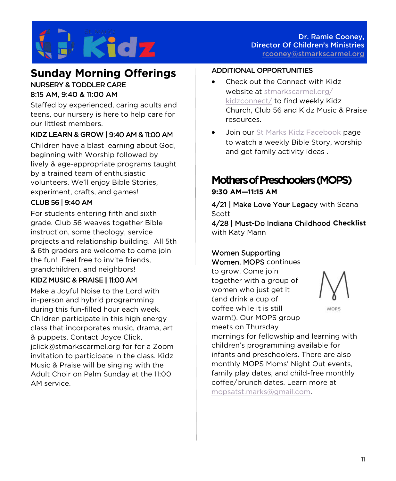

## **Sunday Morning Offerings**

### NURSERY & TODDLER CARE 8:15 AM, 9:40 & 11:00 AM

Staffed by experienced, caring adults and teens, our nursery is here to help care for our littlest members.

### KIDZ LEARN & GROW | 9:40 AM & 11:00 AM

Children have a blast learning about God, beginning with Worship followed by lively & age-appropriate programs taught by a trained team of enthusiastic volunteers. We'll enjoy Bible Stories, experiment, crafts, and games!

### CLUB 56 | 9:40 AM

For students entering fifth and sixth grade. Club 56 weaves together Bible instruction, some theology, service projects and relationship building. All 5th & 6th graders are welcome to come join the fun! Feel free to invite friends, grandchildren, and neighbors!

#### KIDZ MUSIC & PRAISE | 11:00 AM

Make a Joyful Noise to the Lord with in-person and hybrid programming during this fun-filled hour each week. Children participate in this high energy class that incorporates music, drama, art & puppets. Contact Joyce Click, [jclick@stmarkscarmel.org](mailto:jclick@stmarkscarmel.org) for for a Zoom invitation to participate in the class. Kidz Music & Praise will be singing with the Adult Choir on Palm Sunday at the 11:00 AM service.

#### ADDITIONAL OPPORTUNITIES

- Check out the Connect with Kidz website at [stmarkscarmel.org/](https://stmarkscarmel.org/kidzconnect/) [kidzconnect/](https://stmarkscarmel.org/kidzconnect/) to find weekly Kidz Church, Club 56 and Kidz Music & Praise resources.
- Join our [St Marks Kidz Facebook](https://www.facebook.com/groups/stmarkskidz) page to watch a weekly Bible Story, worship and get family activity ideas .

## **Mothers of Preschoolers (MOPS)**

#### **9:30 AM—11:15 AM**

4/21 | Make Love Your Legacy with Seana Scott

4/28 | Must-Do Indiana Childhood **Checklist**  with Katy Mann

#### Women Supporting Women. MOPS continues

to grow. Come join together with a group of women who just get it (and drink a cup of coffee while it is still warm!). Our MOPS group meets on Thursday



MOPS

mornings for fellowship and learning with children's programming available for infants and preschoolers. There are also monthly MOPS Moms' Night Out events, family play dates, and child-free monthly coffee/brunch dates. Learn more at [mopsatst.marks@gmail.com.](mailto:mopsatst.marks@gmail.com)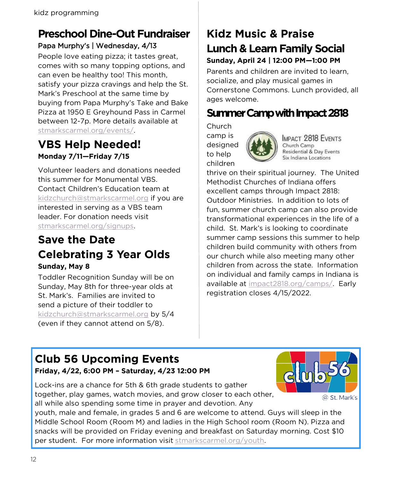## **Preschool Dine-Out Fundraiser** Papa Murphy's | Wednesday, 4/13

People love eating pizza; it tastes great, comes with so many topping options, and can even be healthy too! This month, satisfy your pizza cravings and help the St. Mark's Preschool at the same time by buying from Papa Murphy's Take and Bake Pizza at 1950 E Greyhound Pass in Carmel between 12-7p. More details available at [stmarkscarmel.org/events/.](https://stmarkscarmel.org/event-cal/)

## **VBS Help Needed! Monday 7/11—Friday 7/15**

Volunteer leaders and donations needed this summer for Monumental VBS. Contact Children's Education team at [kidzchurch@stmarkscarmel.org](mailto:kidzchurch@stmarkscarmel.org) if you are interested in serving as a VBS team leader. For donation needs visit [stmarkscarmel.org/signups.](https://stmarkscarmel.org/signups/)

## **Save the Date Celebrating 3 Year Olds Sunday, May 8**

Toddler Recognition Sunday will be on Sunday, May 8th for three-year olds at St. Mark's. Families are invited to send a picture of their toddler to [kidzchurch@stmarkscarmel.org](mailto:kidzchurch@stmarkscarmel.org) by 5/4 (even if they cannot attend on 5/8).

## **Kidz Music & Praise Lunch & Learn Family Social Sunday, April 24 | 12:00 PM—1:00 PM**

Parents and children are invited to learn, socialize, and play musical games in Cornerstone Commons. Lunch provided, all ages welcome.

## **Summer Camp with Impact 2818**

Church camp is designed to help children



**IMPACT 2818 EVENTS** Church Camp Residential & Day Events Six Indiana Locations

thrive on their spiritual journey. The United Methodist Churches of Indiana offers excellent camps through Impact 2818: Outdoor Ministries. In addition to lots of fun, summer church camp can also provide transformational experiences in the life of a child. St. Mark's is looking to coordinate summer camp sessions this summer to help children build community with others from our church while also meeting many other children from across the state. Information on individual and family camps in Indiana is available at [impact2818.org/camps/.](https://impact2818.org/camps/) Early registration closes 4/15/2022.

# **Club 56 Upcoming Events**

**Friday, 4/22, 6:00 PM – Saturday, 4/23 12:00 PM**

Lock-ins are a chance for 5th & 6th grade students to gather together, play games, watch movies, and grow closer to each other, all while also spending some time in prayer and devotion. Any



youth, male and female, in grades 5 and 6 are welcome to attend. Guys will sleep in the Middle School Room (Room M) and ladies in the High School room (Room N). Pizza and snacks will be provided on Friday evening and breakfast on Saturday morning. Cost \$10 per student. For more information visit [stmarkscarmel.org/youth.](https://stmarkscarmel.org/youth/)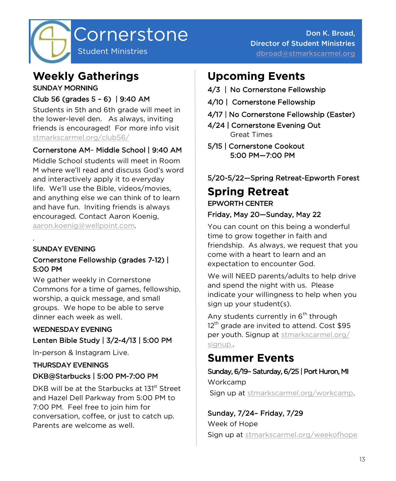

## **Weekly Gatherings**

SUNDAY MORNING

## Club 56 (grades 5 – 6) | 9:40 AM

Students in 5th and 6th grade will meet in the lower-level den. As always, inviting friends is encouraged! For more info visit [stmarkscarmel.org/club56/](https://stmarkscarmel.org/club56/)

### Cornerstone AM– Middle School | 9:40 AM

Middle School students will meet in Room M where we'll read and discuss God's word and interactively apply it to everyday life. We'll use the Bible, videos/movies, and anything else we can think of to learn and have fun. Inviting friends is always encouraged. Contact Aaron Koenig, [aaron.koenig@wellpoint.com.](mailto:aaron.koenig@wellpoint.com)

SUNDAY EVENING

.

#### Cornerstone Fellowship (grades 7-12) | 5:00 PM

We gather weekly in Cornerstone Commons for a time of games, fellowship, worship, a quick message, and small groups. We hope to be able to serve dinner each week as well.

## WEDNESDAY EVENING Lenten Bible Study | 3/2-4/13 | 5:00 PM

In-person & Instagram Live.

### THURSDAY EVENINGS DKB@Starbucks | 5:00 PM-7:00 PM

DKB will be at the Starbucks at 131<sup>st</sup> Street and Hazel Dell Parkway from 5:00 PM to 7:00 PM. Feel free to join him for conversation, coffee, or just to catch up. Parents are welcome as well.

# **Upcoming Events**

- 4/3 | No Cornerstone Fellowship
- 4/10 | Cornerstone Fellowship
- 4/17 | No Cornerstone Fellowship (Easter)
- 4/24 | Cornerstone Evening Out Great Times
- 5/15 | Cornerstone Cookout 5:00 PM—7:00 PM

## 5/20-5/22—Spring Retreat-Epworth Forest

## **Spring Retreat** EPWORTH CENTER

### Friday, May 20—Sunday, May 22

You can count on this being a wonderful time to grow together in faith and friendship. As always, we request that you come with a heart to learn and an expectation to encounter God.

We will NEED parents/adults to help drive and spend the night with us. Please indicate your willingness to help when you sign up your student(s).

Any students currently in 6<sup>th</sup> through  $12<sup>th</sup>$  grade are invited to attend. Cost \$95 per youth. Signup at [stmarkscarmel.org/](https://stmarkscarmel.org/signups/) [signup..](https://stmarkscarmel.org/signups/)

## **Summer Events**

## Sunday, 6/19– Saturday, 6/25 | Port Huron, MI Workcamp

Sign up at [stmarkscarmel.org/workcamp.](https://stmarkscarmel.org/workcamp/)

# Sunday, 7/24– Friday, 7/29

Week of Hope Sign up at [stmarkscarmel.org/weekofhope](https://stmarkscarmel.org/weekofhope/)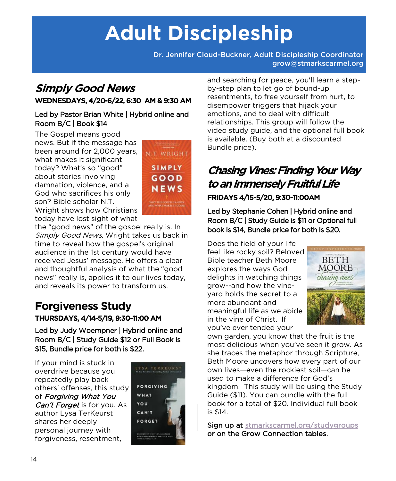# **Adult Discipleship**

Dr. Jennifer Cloud-Buckner, Adult Discipleship Coordinator [grow@stmarkscarmel.org](mailto:grow@stmarkscarmel.org)

## **Simply Good News**  WEDNESDAYS, 4/20-6/22, 6:30 AM & 9:30 AM

#### Led by Pastor Brian White | Hybrid online and Room B/C | Book \$14

The Gospel means good news. But if the message has been around for 2,000 years, what makes it significant today? What's so "good" about stories involving damnation, violence, and a God who sacrifices his only son? Bible scholar N.T. Wright shows how Christians today have lost sight of what



the "good news" of the gospel really is. In Simply Good News, Wright takes us back in time to reveal how the gospel's original audience in the 1st century would have received Jesus' message. He offers a clear and thoughtful analysis of what the "good news" really is, applies it to our lives today, and reveals its power to transform us.

## **Forgiveness Study**  THURSDAYS, 4/14-5/19, 9:30-11:00 AM

Led by Judy Woempner | Hybrid online and Room B/C | Study Guide \$12 or Full Book is \$15, Bundle price for both is \$22.

If your mind is stuck in overdrive because you repeatedly play back others' offenses, this study of Forgiving What You Can't Forget is for you. As author Lysa TerKeurst shares her deeply personal journey with forgiveness, resentment,



and searching for peace, you'll learn a stepby-step plan to let go of bound-up resentments, to free yourself from hurt, to disempower triggers that hijack your emotions, and to deal with difficult relationships. This group will follow the video study guide, and the optional full book is available. (Buy both at a discounted Bundle price).

# **Chasing Vines: Finding Your Way to an Immensely Fruitful Life**

### FRIDAYS 4/15-5/20, 9:30-11:00AM

Led by Stephanie Cohen | Hybrid online and Room B/C | Study Guide is \$11 or Optional full book is \$14, Bundle price for both is \$20.

Does the field of your life feel like rocky soil? Beloved Bible teacher Beth Moore explores the ways God delights in watching things grow--and how the vineyard holds the secret to a more abundant and meaningful life as we abide in the vine of Christ. If you've ever tended your



own garden, you know that the fruit is the most delicious when you've seen it grow. As she traces the metaphor through Scripture, Beth Moore uncovers how every part of our own lives—even the rockiest soil—can be used to make a difference for God's kingdom. This study will be using the Study Guide (\$11). You can bundle with the full book for a total of \$20. Individual full book is \$14.

Sign up at stmarkscarmel.org/studygroups or on the Grow Connection tables.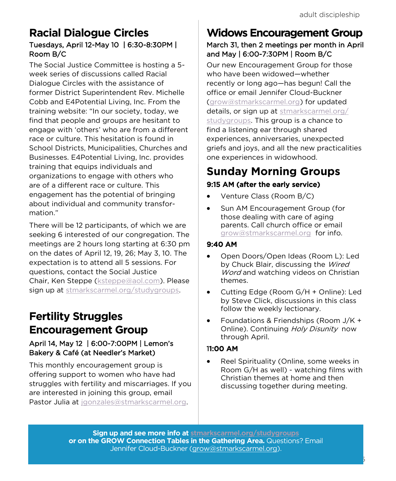## **Racial Dialogue Circles**  Tuesdays, April 12-May 10 | 6:30-8:30PM | Room B/C

The Social Justice Committee is hosting a 5 week series of discussions called Racial Dialogue Circles with the assistance of former District Superintendent Rev. Michelle Cobb and E4Potential Living, Inc. From the training website: "In our society, today, we find that people and groups are hesitant to engage with 'others' who are from a different race or culture. This hesitation is found in School Districts, Municipalities, Churches and Businesses. E4Potential Living, Inc. provides training that equips individuals and organizations to engage with others who are of a different race or culture. This engagement has the potential of bringing about individual and community transformation."

There will be 12 participants, of which we are seeking 6 interested of our congregation. The meetings are 2 hours long starting at 6:30 pm on the dates of April 12, 19, 26; May 3, 10. The expectation is to attend all 5 sessions. For questions, contact the Social Justice Chair, Ken Steppe [\(ksteppe@aol.com\).](mailto:ksteppe@aol.com?subject=Racial%20Dialogue%20Circles) Please sign up at [stmarkscarmel.org/studygroups.](https://stmarkscarmel.org/studygroups/)

## **Fertility Struggles Encouragement Group**

### April 14, May 12 | 6:00-7:00PM | Lemon's Bakery & Café (at Needler's Market)

This monthly encouragement group is offering support to women who have had struggles with fertility and miscarriages. If you are interested in joining this group, email Pastor Julia at [jgonzales@stmarkscarmel.org.](mailto:jgonzales@stmarkscarmel.org?subject=Fertility%20Struggles%20Encouragement%20Group)

# **Widows Encouragement Group**

### March 31, then 2 meetings per month in April and May | 6:00-7:30PM | Room B/C

Our new Encouragement Group for those who have been widowed—whether recently or long ago—has begun! Call the office or email Jennifer Cloud-Buckner [\(grow@stmarkscarmel.org\)](mailto:grow@stmarkscarmel.org?subject=Widows%20Encouragement%20Group) for updated details, or sign up at [stmarkscarmel.org/](stmarkscarmel.org/studygroups) [studygroups.](stmarkscarmel.org/studygroups) This group is a chance to find a listening ear through shared experiences, anniversaries, unexpected griefs and joys, and all the new practicalities one experiences in widowhood.

## **Sunday Morning Groups** 9:15 AM (after the early service)

- Venture Class (Room B/C)
- Sun AM Encouragement Group (for those dealing with care of aging parents. Call church office or email [grow@stmarkscarmel.org](mailto:grow@stmarkscarmel.org?subject=Encouragement%20Group%20-%20caregiving) for info.

### 9:40 AM

- Open Doors/Open Ideas (Room L): Led by Chuck Blair, discussing the Wired Word and watching videos on Christian themes.
- Cutting Edge (Room G/H + Online): Led by Steve Click, discussions in this class follow the weekly lectionary.
- Foundations & Friendships (Room J/K + Online). Continuing Holy Disunity now through April.

### 11:00 AM

• Reel Spirituality (Online, some weeks in Room G/H as well) - watching films with Christian themes at home and then discussing together during meeting.

15

**Sign up and see more info at [stmarkscarmel.org/studygroups](https://stmarkscarmel.org/studygroups/) or on the GROW Connection Tables in the Gathering Area.** Questions? Email Jennifer Cloud-Buckner [\(grow@stmarkscarmel.org\).](mailto:grow@stmarkscarmel.org)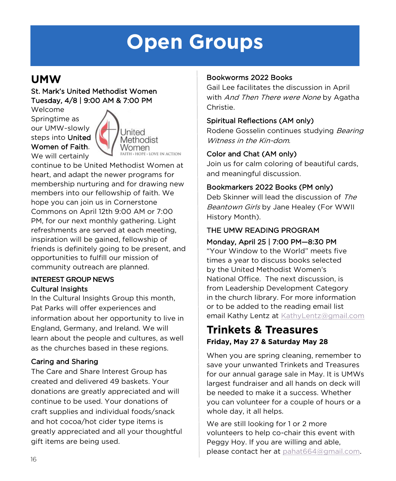# **Open Groups**

## **UMW**

### St. Mark's United Methodist Women Tuesday, 4/8 | 9:00 AM & 7:00 PM

Welcome Springtime as our UMW~slowly steps into United Women of Faith. We will certainly



continue to be United Methodist Women at heart, and adapt the newer programs for membership nurturing and for drawing new members into our fellowship of faith. We hope you can join us in Cornerstone Commons on April 12th 9:00 AM or 7:00 PM, for our next monthly gathering. Light refreshments are served at each meeting, inspiration will be gained, fellowship of friends is definitely going to be present, and opportunities to fulfill our mission of community outreach are planned.

#### INTEREST GROUP NEWS Cultural Insights

In the Cultural Insights Group this month, Pat Parks will offer experiences and information about her opportunity to live in England, Germany, and Ireland. We will learn about the people and cultures, as well as the churches based in these regions.

### Caring and Sharing

The Care and Share Interest Group has created and delivered 49 baskets. Your donations are greatly appreciated and will continue to be used. Your donations of craft supplies and individual foods/snack and hot cocoa/hot cider type items is greatly appreciated and all your thoughtful gift items are being used.

### Bookworms 2022 Books

Gail Lee facilitates the discussion in April with And Then There were None by Agatha Christie.

### Spiritual Reflections (AM only)

Rodene Gosselin continues studying Bearing Witness in the Kin-dom.

### Color and Chat (AM only)

Join us for calm coloring of beautiful cards, and meaningful discussion.

### Bookmarkers 2022 Books (PM only)

Deb Skinner will lead the discussion of The Beantown Girls by Jane Healey (For WWII History Month).

### THE UMW READING PROGRAM

Monday, April 25 | 7:00 PM—8:30 PM

"Your Window to the World" meets five times a year to discuss books selected by the United Methodist Women's National Office. The next discussion, is from Leadership Development Category in the church library. For more information or to be added to the reading email list email Kathy Lentz at [KathyLentz@gmail.com](mailto:KathyLentz@gmail.com?subject=umw%20reading%20program)

## **Trinkets & Treasures Friday, May 27 & Saturday May 28**

When you are spring cleaning, remember to save your unwanted Trinkets and Treasures for our annual garage sale in May. It is UMWs largest fundraiser and all hands on deck will be needed to make it a success. Whether you can volunteer for a couple of hours or a whole day, it all helps.

We are still looking for 1 or 2 more volunteers to help co-chair this event with Peggy Hoy. If you are willing and able, please contact her at [pahat664@gmail.com.](mailto:pahat664@gmail.com)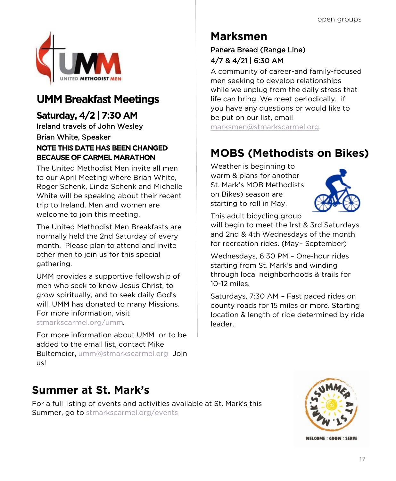

# **UMM Breakfast Meetings**

**Saturday, 4/2 | 7:30 AM** Ireland travels of John Wesley Brian White, Speaker NOTE THIS DATE HAS BEEN CHANGED BECAUSE OF CARMEL MARATHON

The United Methodist Men invite all men to our April Meeting where Brian White, Roger Schenk, Linda Schenk and Michelle White will be speaking about their recent trip to Ireland. Men and women are welcome to join this meeting.

The United Methodist Men Breakfasts are normally held the 2nd Saturday of every month. Please plan to attend and invite other men to join us for this special gathering.

UMM provides a supportive fellowship of men who seek to know Jesus Christ, to grow spiritually, and to seek daily God's will. UMM has donated to many Missions. For more information, visit [stmarkscarmel.org/umm.](https://stmarkscarmel.org/umm/)

For more information about UMM or to be added to the email list, contact Mike Bultemeier, [umm@stmarkscarmel.org](mailto:umm@stmarkscarmel.org) Join us!

# **Marksmen**

### Panera Bread (Range Line) 4/7 & 4/21 | 6:30 AM

A community of career-and family-focused men seeking to develop relationships while we unplug from the daily stress that life can bring. We meet periodically. if you have any questions or would like to be put on our list, email

[marksmen@stmarkscarmel.org.](mailto:marksmen@stmarkscarmel.org)

# **MOBS (Methodists on Bikes)**

Weather is beginning to warm & plans for another St. Mark's MOB Methodists on Bikes) season are starting to roll in May.



This adult bicycling group

will begin to meet the 1rst & 3rd Saturdays and 2nd & 4th Wednesdays of the month for recreation rides. (May– September)

Wednesdays, 6:30 PM – One-hour rides starting from St. Mark's and winding through local neighborhoods & trails for 10-12 miles.

Saturdays, 7:30 AM – Fast paced rides on county roads for 15 miles or more. Starting location & length of ride determined by ride leader.

# **Summer at St. Mark's**

For a full listing of events and activities available at St. Mark's this Summer, go to [stmarkscarmel.org/events](https://stmarkscarmel.org/event-cal/)



**WEICOME: CDOW: SEDVE**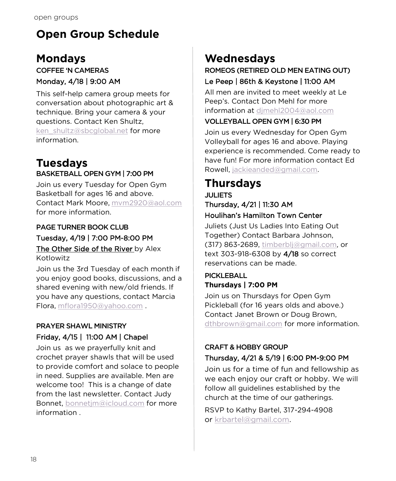# **Open Group Schedule**

# **Mondays**

### COFFEE 'N CAMERAS Monday, 4/18 | 9:00 AM

This self-help camera group meets for conversation about photographic art & technique. Bring your camera & your questions. Contact Ken Shultz, [ken\\_shultz@sbcglobal.net](mailto:ken_shultz@sbcglobal.net?subject=Coffee%20and%20Cameras) for more information.

## **Tuesdays** BASKETBALL OPEN GYM | 7:00 PM

Join us every Tuesday for Open Gym Basketball for ages 16 and above. Contact Mark Moore, [mvm2920@aol.com](mailto:mvm2920@aol.com) for more information.

## PAGE TURNER BOOK CLUB Tuesday, 4/19 | 7:00 PM-8:00 PM

The Other Side of the River by Alex Kotlowitz

Join us the 3rd Tuesday of each month if you enjoy good books, discussions, and a shared evening with new/old friends. If you have any questions, contact Marcia Flora, [mflora1950@yahoo.com](mailto:mflora1950@yahoo.com?subject=Page%20Turners%20Book%20Club) .

### PRAYER SHAWL MINISTRY Friday, 4/15 | 11:00 AM | Chapel

Join us as we prayerfully knit and crochet prayer shawls that will be used to provide comfort and solace to people in need. Supplies are available. Men are welcome too! This is a change of date from the last newsletter. Contact Judy Bonnet, [b](mailto:bonnetjm@icloud.com)onnetim@icloud.com for more information .

# **Wednesdays**

### ROMEOS (RETIRED OLD MEN EATING OUT) Le Peep | 86th & Keystone | 11:00 AM

All men are invited to meet weekly at Le Peep's. Contact Don Mehl for more information at [djmehl2004@aol.com](mailto:djmehl2004@aol.com?subject=ROMEOS)

### VOLLEYBALL OPEN GYM | 6:30 PM

Join us every Wednesday for Open Gym Volleyball for ages 16 and above. Playing experience is recommended. Come ready to have fun! For more information contact Ed Rowell, [jackieanded@gmail.com.](mailto:jackieandedrowell@gmail.com?subject=Volleyball%20Open%20Gym)

# **Thursdays**

#### JULIETS Thursday, 4/21 | 11:30 AM Houlihan's Hamilton Town Center

Juliets (Just Us Ladies Into Eating Out Together) Contact Barbara Johnson, (317) 863-2689, [timberblj@gmail.com,](mailto:timberblj@gmail.com?subject=JULIETS) or text 303-918-6308 by 4/18 so correct reservations can be made.

## PICKLEBALL **Thursdays | 7:00 PM**

Join us on Thursdays for Open Gym Pickleball (for 16 years olds and above.) Contact Janet Brown or Doug Brown, [dthbrown@gmail.com](mailto:dthbrown@gmail.com) for more information.

### CRAFT & HOBBY GROUP Thursday, 4/21 & 5/19 | 6:00 PM-9:00 PM

Join us for a time of fun and fellowship as we each enjoy our craft or hobby. We will follow all guidelines established by the church at the time of our gatherings.

RSVP to Kathy Bartel, 317-294-4908 or [krbartel@gmail.com.](mailto:krbartel@gmail.com?subject=Craft%20&%20Hobby%20Group)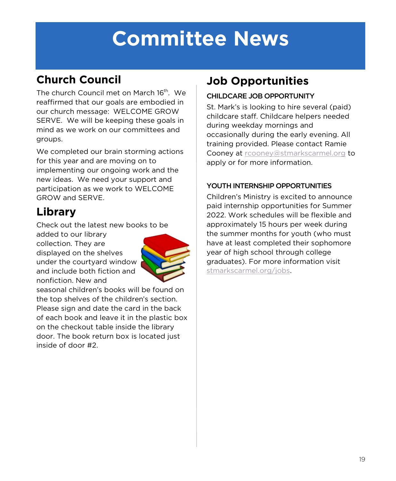# **Committee News**

# **Church Council**

The church Council met on March 16<sup>th</sup>. We reaffirmed that our goals are embodied in our church message: WELCOME GROW SERVE. We will be keeping these goals in mind as we work on our committees and groups.

We completed our brain storming actions for this year and are moving on to implementing our ongoing work and the new ideas. We need your support and participation as we work to WELCOME GROW and SERVE.

# **Library**

Check out the latest new books to be

added to our library collection. They are displayed on the shelves under the courtyard window and include both fiction and nonfiction. New and



seasonal children's books will be found on the top shelves of the children's section. Please sign and date the card in the back of each book and leave it in the plastic box on the checkout table inside the library door. The book return box is located just inside of door #2.

# **Job Opportunities**

### CHILDCARE JOB OPPORTUNITY

St. Mark's is looking to hire several (paid) childcare staff. Childcare helpers needed during weekday mornings and occasionally during the early evening. All training provided. Please contact Ramie Cooney at [rcooney@stmarkscarmel.org](mailto:rcooney@stmarkscarmel.org) to apply or for more information.

## YOUTH INTERNSHIP OPPORTUNITIES

Children's Ministry is excited to announce paid internship opportunities for Summer 2022. Work schedules will be flexible and approximately 15 hours per week during the summer months for youth (who must have at least completed their sophomore year of high school through college graduates). For more information visit [stmarkscarmel.org/jobs.](https://stmarkscarmel.org/jobs/)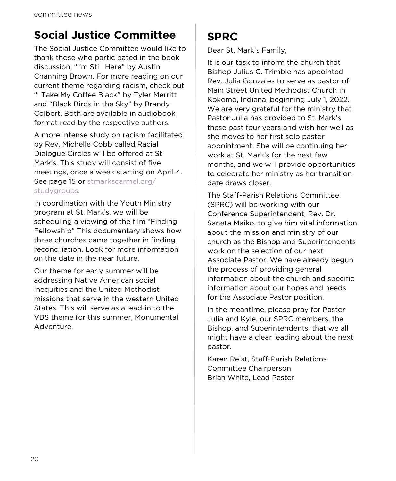# **Social Justice Committee**

The Social Justice Committee would like to thank those who participated in the book discussion, "I'm Still Here" by Austin Channing Brown. For more reading on our current theme regarding racism, check out "I Take My Coffee Black" by Tyler Merritt and "Black Birds in the Sky" by Brandy Colbert. Both are available in audiobook format read by the respective authors.

A more intense study on racism facilitated by Rev. Michelle Cobb called Racial Dialogue Circles will be offered at St. Mark's. This study will consist of five meetings, once a week starting on April 4. See page 15 or [stmarkscarmel.org/](https://stmarkscarmel.org/studygroups/) [studygroups.](https://stmarkscarmel.org/studygroups/) 

In coordination with the Youth Ministry program at St. Mark's, we will be scheduling a viewing of the film "Finding Fellowship" This documentary shows how three churches came together in finding reconciliation. Look for more information on the date in the near future.

Our theme for early summer will be addressing Native American social inequities and the United Methodist missions that serve in the western United States. This will serve as a lead-in to the VBS theme for this summer, Monumental Adventure.

# **SPRC**

Dear St. Mark's Family,

It is our task to inform the church that Bishop Julius C. Trimble has appointed Rev. Julia Gonzales to serve as pastor of Main Street United Methodist Church in Kokomo, Indiana, beginning July 1, 2022. We are very grateful for the ministry that Pastor Julia has provided to St. Mark's these past four years and wish her well as she moves to her first solo pastor appointment. She will be continuing her work at St. Mark's for the next few months, and we will provide opportunities to celebrate her ministry as her transition date draws closer.

The Staff-Parish Relations Committee (SPRC) will be working with our Conference Superintendent, Rev. Dr. Saneta Maiko, to give him vital information about the mission and ministry of our church as the Bishop and Superintendents work on the selection of our next Associate Pastor. We have already begun the process of providing general information about the church and specific information about our hopes and needs for the Associate Pastor position.

In the meantime, please pray for Pastor Julia and Kyle, our SPRC members, the Bishop, and Superintendents, that we all might have a clear leading about the next pastor.

Karen Reist, Staff-Parish Relations Committee Chairperson Brian White, Lead Pastor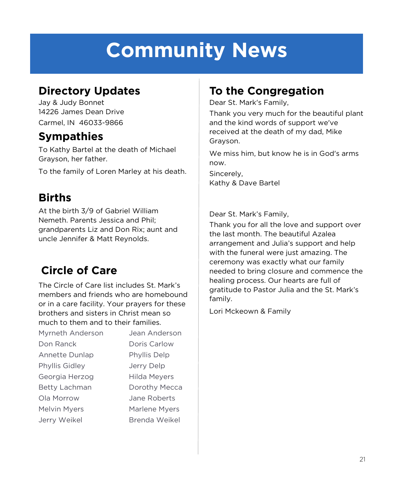# **Community News**

# **Directory Updates**

Jay & Judy Bonnet 14226 James Dean Drive Carmel, IN 46033-9866

# **Sympathies**

To Kathy Bartel at the death of Michael Grayson, her father.

To the family of Loren Marley at his death.

# **Births**

At the birth 3/9 of Gabriel William Nemeth. Parents Jessica and Phil; grandparents Liz and Don Rix; aunt and uncle Jennifer & Matt Reynolds.

# **Circle of Care**

The Circle of Care list includes St. Mark's members and friends who are homebound or in a care facility. Your prayers for these brothers and sisters in Christ mean so much to them and to their families.

| Jean Anderson        |
|----------------------|
| Doris Carlow         |
| Phyllis Delp         |
| Jerry Delp           |
| Hilda Meyers         |
| Dorothy Mecca        |
| Jane Roberts         |
| <b>Marlene Myers</b> |
| Brenda Weikel        |
|                      |

# **To the Congregation**

Dear St. Mark's Family,

Thank you very much for the beautiful plant and the kind words of support we've received at the death of my dad, Mike Grayson.

We miss him, but know he is in God's arms now.

Sincerely, Kathy & Dave Bartel

Dear St. Mark's Family,

Thank you for all the love and support over the last month. The beautiful Azalea arrangement and Julia's support and help with the funeral were just amazing. The ceremony was exactly what our family needed to bring closure and commence the healing process. Our hearts are full of gratitude to Pastor Julia and the St. Mark's family.

Lori Mckeown & Family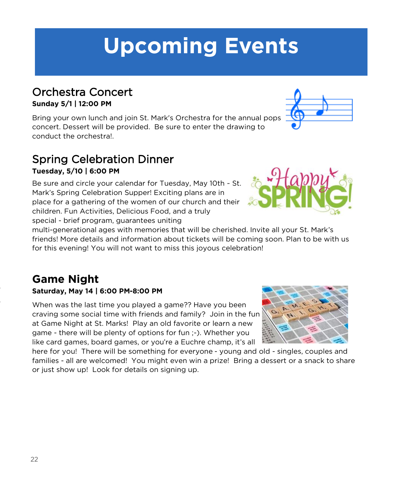# 22

# **Upcoming Events**

## Orchestra Concert **Sunday 5/1 | 12:00 PM**

Bring your own lunch and join St. Mark's Orchestra for the annual pops concert. Dessert will be provided. Be sure to enter the drawing to conduct the orchestra!.

## Spring Celebration Dinner **Tuesday, 5/10 | 6:00 PM**

Be sure and circle your calendar for Tuesday, May 10th ~ St. Mark's Spring Celebration Supper! Exciting plans are in place for a gathering of the women of our church and their children. Fun Activities, Delicious Food, and a truly special - brief program, guarantees uniting

multi-generational ages with memories that will be cherished. Invite all your St. Mark's friends! More details and information about tickets will be coming soon. Plan to be with us for this evening! You will not want to miss this joyous celebration!

## **Game Night Saturday, May 14 | 6:00 PM-8:00 PM**

When was the last time you played a game?? Have you been craving some social time with friends and family? Join in the fun at Game Night at St. Marks! Play an old favorite or learn a new game - there will be plenty of options for fun ;-). Whether you like card games, board games, or you're a Euchre champ, it's all

here for you! There will be something for everyone - young and old - singles, couples and families - all are welcomed! You might even win a prize! Bring a dessert or a snack to share or just show up! Look for details on signing up.





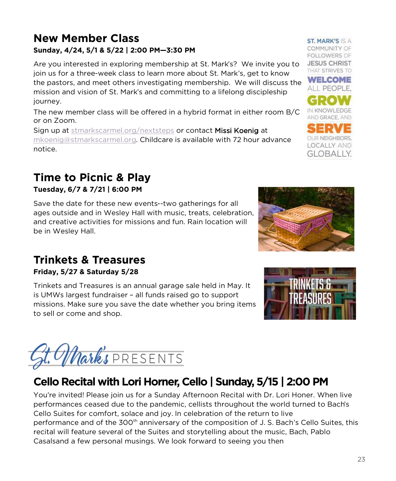## **New Member Class Sunday, 4/24, 5/1 & 5/22 | 2:00 PM—3:30 PM**

Are you interested in exploring membership at St. Mark's? We invite you to join us for a three-week class to learn more about St. Mark's, get to know the pastors, and meet others investigating membership. We will discuss the mission and vision of St. Mark's and committing to a lifelong discipleship journey.

The new member class will be offered in a hybrid format in either room B/C or on Zoom.

Sign up at [stmarkscarmel.org/nextsteps](https://stmarkscarmel.org/nextsteps/) or contact Missi Koenig at [mkoenig@stmarkscarmel.org.](mailto:mkoenig@stmarkscarmel.org) Childcare is available with 72 hour advance notice.

# **Time to Picnic & Play**

**Tuesday, 6/7 & 7/21 | 6:00 PM**

Save the date for these new events--two gatherings for all ages outside and in Wesley Hall with music, treats, celebration, and creative activities for missions and fun. Rain location will be in Wesley Hall.

## **Trinkets & Treasures**

**Friday, 5/27 & Saturday 5/28** 

Trinkets and Treasures is an annual garage sale held in May. It is UMWs largest fundraiser – all funds raised go to support missions. Make sure you save the date whether you bring items to sell or come and shop.



# **Cello Recital with Lori Horner, Cello | Sunday, 5/15 | 2:00 PM**

You're invited! Please join us for a Sunday Afternoon Recital with Dr. Lori Honer. When live performances ceased due to the pandemic, cellists throughout the world turned to Bach's Cello Suites for comfort, solace and joy. In celebration of the return to live performance and of the 300<sup>th</sup> anniversary of the composition of J. S. Bach's Cello Suites, this recital will feature several of the Suites and storytelling about the music, Bach, Pablo Casalsand a few personal musings. We look forward to seeing you then

**ST. MARK'S IS A** COMMUNITY OF **FOLLOWERS OF JESUS CHRIST** THAT STRIVES TO